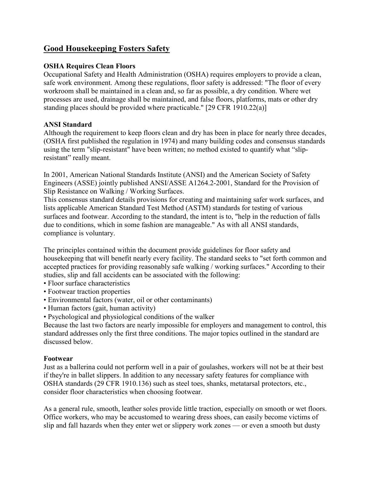# **Good Housekeeping Fosters Safety**

# **OSHA Requires Clean Floors**

Occupational Safety and Health Administration (OSHA) requires employers to provide a clean, safe work environment. Among these regulations, floor safety is addressed: "The floor of every workroom shall be maintained in a clean and, so far as possible, a dry condition. Where wet processes are used, drainage shall be maintained, and false floors, platforms, mats or other dry standing places should be provided where practicable." [29 CFR 1910.22(a)]

# **ANSI Standard**

Although the requirement to keep floors clean and dry has been in place for nearly three decades, (OSHA first published the regulation in 1974) and many building codes and consensus standards using the term "slip-resistant" have been written; no method existed to quantify what "slipresistant" really meant.

In 2001, American National Standards Institute (ANSI) and the American Society of Safety Engineers (ASSE) jointly published ANSI/ASSE A1264.2-2001, Standard for the Provision of Slip Resistance on Walking / Working Surfaces.

This consensus standard details provisions for creating and maintaining safer work surfaces, and lists applicable American Standard Test Method (ASTM) standards for testing of various surfaces and footwear. According to the standard, the intent is to, "help in the reduction of falls due to conditions, which in some fashion are manageable." As with all ANSI standards, compliance is voluntary.

The principles contained within the document provide guidelines for floor safety and housekeeping that will benefit nearly every facility. The standard seeks to "set forth common and accepted practices for providing reasonably safe walking / working surfaces." According to their studies, slip and fall accidents can be associated with the following:

- Floor surface characteristics
- Footwear traction properties
- Environmental factors (water, oil or other contaminants)
- Human factors (gait, human activity)
- Psychological and physiological conditions of the walker

Because the last two factors are nearly impossible for employers and management to control, this standard addresses only the first three conditions. The major topics outlined in the standard are discussed below.

## **Footwear**

Just as a ballerina could not perform well in a pair of goulashes, workers will not be at their best if they're in ballet slippers. In addition to any necessary safety features for compliance with OSHA standards (29 CFR 1910.136) such as steel toes, shanks, metatarsal protectors, etc., consider floor characteristics when choosing footwear.

As a general rule, smooth, leather soles provide little traction, especially on smooth or wet floors. Office workers, who may be accustomed to wearing dress shoes, can easily become victims of slip and fall hazards when they enter wet or slippery work zones — or even a smooth but dusty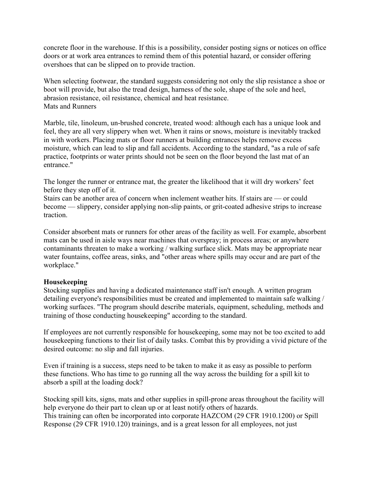concrete floor in the warehouse. If this is a possibility, consider posting signs or notices on office doors or at work area entrances to remind them of this potential hazard, or consider offering overshoes that can be slipped on to provide traction.

When selecting footwear, the standard suggests considering not only the slip resistance a shoe or boot will provide, but also the tread design, harness of the sole, shape of the sole and heel, abrasion resistance, oil resistance, chemical and heat resistance. Mats and Runners

Marble, tile, linoleum, un-brushed concrete, treated wood: although each has a unique look and feel, they are all very slippery when wet. When it rains or snows, moisture is inevitably tracked in with workers. Placing mats or floor runners at building entrances helps remove excess moisture, which can lead to slip and fall accidents. According to the standard, "as a rule of safe practice, footprints or water prints should not be seen on the floor beyond the last mat of an entrance."

The longer the runner or entrance mat, the greater the likelihood that it will dry workers' feet before they step off of it.

Stairs can be another area of concern when inclement weather hits. If stairs are — or could become — slippery, consider applying non-slip paints, or grit-coated adhesive strips to increase traction.

Consider absorbent mats or runners for other areas of the facility as well. For example, absorbent mats can be used in aisle ways near machines that overspray; in process areas; or anywhere contaminants threaten to make a working / walking surface slick. Mats may be appropriate near water fountains, coffee areas, sinks, and "other areas where spills may occur and are part of the workplace."

## **Housekeeping**

Stocking supplies and having a dedicated maintenance staff isn't enough. A written program detailing everyone's responsibilities must be created and implemented to maintain safe walking / working surfaces. "The program should describe materials, equipment, scheduling, methods and training of those conducting housekeeping" according to the standard.

If employees are not currently responsible for housekeeping, some may not be too excited to add housekeeping functions to their list of daily tasks. Combat this by providing a vivid picture of the desired outcome: no slip and fall injuries.

Even if training is a success, steps need to be taken to make it as easy as possible to perform these functions. Who has time to go running all the way across the building for a spill kit to absorb a spill at the loading dock?

Stocking spill kits, signs, mats and other supplies in spill-prone areas throughout the facility will help everyone do their part to clean up or at least notify others of hazards. This training can often be incorporated into corporate HAZCOM (29 CFR 1910.1200) or Spill Response (29 CFR 1910.120) trainings, and is a great lesson for all employees, not just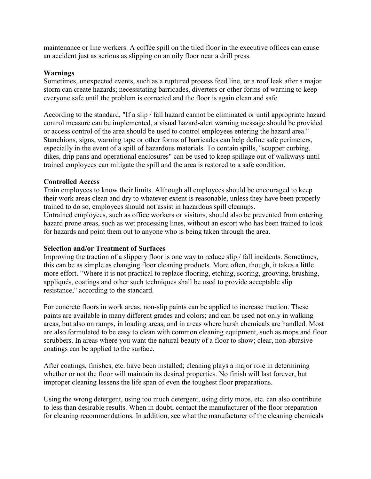maintenance or line workers. A coffee spill on the tiled floor in the executive offices can cause an accident just as serious as slipping on an oily floor near a drill press.

## **Warnings**

Sometimes, unexpected events, such as a ruptured process feed line, or a roof leak after a major storm can create hazards; necessitating barricades, diverters or other forms of warning to keep everyone safe until the problem is corrected and the floor is again clean and safe.

According to the standard, "If a slip / fall hazard cannot be eliminated or until appropriate hazard control measure can be implemented, a visual hazard-alert warning message should be provided or access control of the area should be used to control employees entering the hazard area." Stanchions, signs, warning tape or other forms of barricades can help define safe perimeters, especially in the event of a spill of hazardous materials. To contain spills, "scupper curbing, dikes, drip pans and operational enclosures" can be used to keep spillage out of walkways until trained employees can mitigate the spill and the area is restored to a safe condition.

## **Controlled Access**

Train employees to know their limits. Although all employees should be encouraged to keep their work areas clean and dry to whatever extent is reasonable, unless they have been properly trained to do so, employees should not assist in hazardous spill cleanups. Untrained employees, such as office workers or visitors, should also be prevented from entering hazard prone areas, such as wet processing lines, without an escort who has been trained to look for hazards and point them out to anyone who is being taken through the area.

## **Selection and/or Treatment of Surfaces**

Improving the traction of a slippery floor is one way to reduce slip / fall incidents. Sometimes, this can be as simple as changing floor cleaning products. More often, though, it takes a little more effort. "Where it is not practical to replace flooring, etching, scoring, grooving, brushing, appliqués, coatings and other such techniques shall be used to provide acceptable slip resistance," according to the standard.

For concrete floors in work areas, non-slip paints can be applied to increase traction. These paints are available in many different grades and colors; and can be used not only in walking areas, but also on ramps, in loading areas, and in areas where harsh chemicals are handled. Most are also formulated to be easy to clean with common cleaning equipment, such as mops and floor scrubbers. In areas where you want the natural beauty of a floor to show; clear, non-abrasive coatings can be applied to the surface.

After coatings, finishes, etc. have been installed; cleaning plays a major role in determining whether or not the floor will maintain its desired properties. No finish will last forever, but improper cleaning lessens the life span of even the toughest floor preparations.

Using the wrong detergent, using too much detergent, using dirty mops, etc. can also contribute to less than desirable results. When in doubt, contact the manufacturer of the floor preparation for cleaning recommendations. In addition, see what the manufacturer of the cleaning chemicals